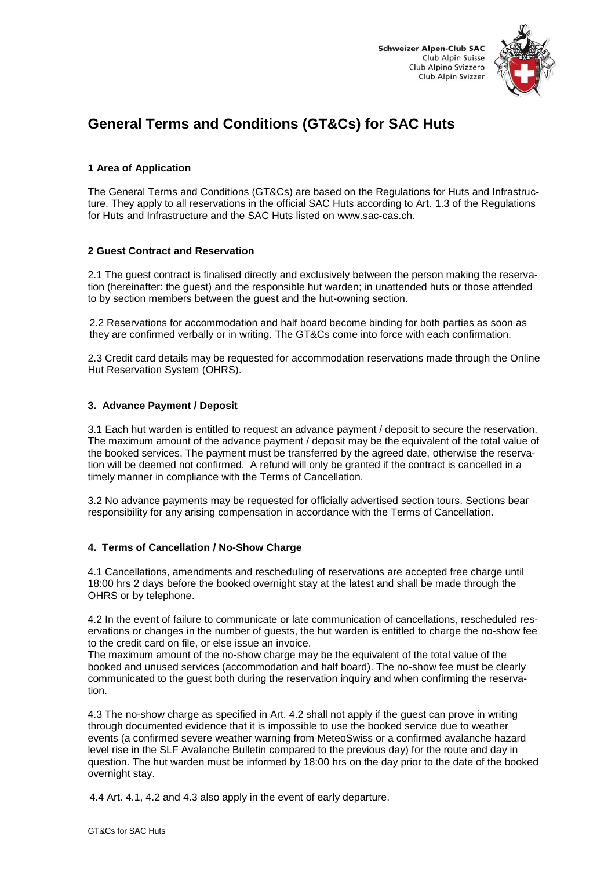



# **General Terms and Conditions (GT&Cs) for SAC Huts**

### **1 Area of Application**

The General Terms and Conditions (GT&Cs) are based on the Regulations for Huts and Infrastructure. They apply to all reservations in the official SAC Huts according to Art. 1.3 of the Regulations for Huts and Infrastructure and the SAC Huts listed on www.sac-cas.ch.

### **2 Guest Contract and Reservation**

2.1 The guest contract is finalised directly and exclusively between the person making the reservation (hereinafter: the guest) and the responsible hut warden; in unattended huts or those attended to by section members between the guest and the hut-owning section.

2.2 Reservations for accommodation and half board become binding for both parties as soon as they are confirmed verbally or in writing. The GT&Cs come into force with each confirmation.

2.3 Credit card details may be requested for accommodation reservations made through the Online Hut Reservation System (OHRS).

## **3. Advance Payment / Deposit**

3.1 Each hut warden is entitled to request an advance payment / deposit to secure the reservation. The maximum amount of the advance payment / deposit may be the equivalent of the total value of the booked services. The payment must be transferred by the agreed date, otherwise the reservation will be deemed not confirmed. A refund will only be granted if the contract is cancelled in a timely manner in compliance with the Terms of Cancellation.

3.2 No advance payments may be requested for officially advertised section tours. Sections bear responsibility for any arising compensation in accordance with the Terms of Cancellation.

### **4. Terms of Cancellation / No-Show Charge**

4.1 Cancellations, amendments and rescheduling of reservations are accepted free charge until 18:00 hrs 2 days before the booked overnight stay at the latest and shall be made through the OHRS or by telephone.

4.2 In the event of failure to communicate or late communication of cancellations, rescheduled reservations or changes in the number of guests, the hut warden is entitled to charge the no-show fee to the credit card on file, or else issue an invoice.

The maximum amount of the no-show charge may be the equivalent of the total value of the booked and unused services (accommodation and half board). The no-show fee must be clearly communicated to the guest both during the reservation inquiry and when confirming the reservation.

4.3 The no-show charge as specified in Art. 4.2 shall not apply if the guest can prove in writing through documented evidence that it is impossible to use the booked service due to weather events (a confirmed severe weather warning from MeteoSwiss or a confirmed avalanche hazard level rise in the SLF Avalanche Bulletin compared to the previous day) for the route and day in question. The hut warden must be informed by 18:00 hrs on the day prior to the date of the booked overnight stay.

4.4 Art. 4.1, 4.2 and 4.3 also apply in the event of early departure.